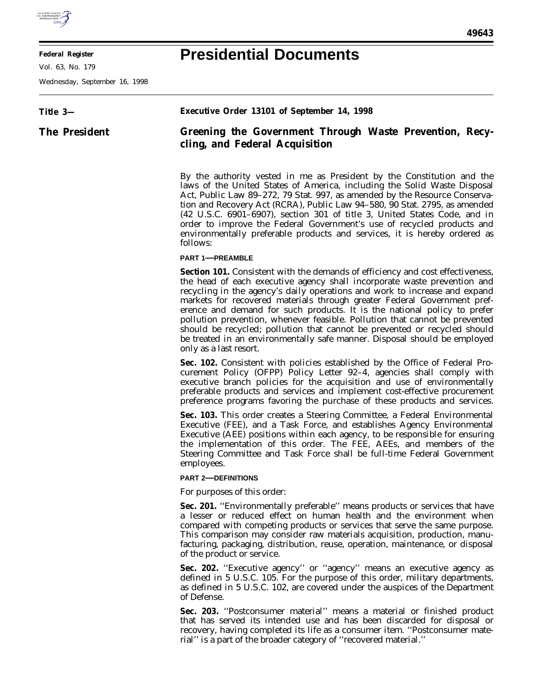

E

# **Federal Register**

Vol. 63, No. 179

Wednesday, September 16, 1998

۰

# **Presidential Documents**

| Title 3-             | Executive Order 13101 of September 14, 1998                                                                                                                                                                                                                                                                                                                                                                                                                                                                                                                                                                                                                                |
|----------------------|----------------------------------------------------------------------------------------------------------------------------------------------------------------------------------------------------------------------------------------------------------------------------------------------------------------------------------------------------------------------------------------------------------------------------------------------------------------------------------------------------------------------------------------------------------------------------------------------------------------------------------------------------------------------------|
| <b>The President</b> | Greening the Government Through Waste Prevention, Recy-<br>cling, and Federal Acquisition                                                                                                                                                                                                                                                                                                                                                                                                                                                                                                                                                                                  |
|                      | By the authority vested in me as President by the Constitution and the<br>laws of the United States of America, including the Solid Waste Disposal<br>Act, Public Law 89–272, 79 Stat. 997, as amended by the Resource Conserva-<br>tion and Recovery Act (RCRA), Public Law 94-580, 90 Stat. 2795, as amended<br>(42 U.S.C. 6901–6907), section 301 of title 3, United States Code, and in<br>order to improve the Federal Government's use of recycled products and<br>environmentally preferable products and services, it is hereby ordered as<br>follows:                                                                                                             |
|                      | <b>PART 1-PREAMBLE</b>                                                                                                                                                                                                                                                                                                                                                                                                                                                                                                                                                                                                                                                     |
|                      | <b>Section 101.</b> Consistent with the demands of efficiency and cost effectiveness,<br>the head of each executive agency shall incorporate waste prevention and<br>recycling in the agency's daily operations and work to increase and expand<br>markets for recovered materials through greater Federal Government pref-<br>erence and demand for such products. It is the national policy to prefer<br>pollution prevention, whenever feasible. Pollution that cannot be prevented<br>should be recycled; pollution that cannot be prevented or recycled should<br>be treated in an environmentally safe manner. Disposal should be employed<br>only as a last resort. |
|                      | <b>Sec. 102.</b> Consistent with policies established by the Office of Federal Pro-<br>curement Policy (OFPP) Policy Letter 92-4, agencies shall comply with<br>executive branch policies for the acquisition and use of environmentally<br>preferable products and services and implement cost-effective procurement<br>preference programs favoring the purchase of these products and services.                                                                                                                                                                                                                                                                         |
|                      | Sec. 103. This order creates a Steering Committee, a Federal Environmental<br>Executive (FEE), and a Task Force, and establishes Agency Environmental<br>Executive (AEE) positions within each agency, to be responsible for ensuring<br>the implementation of this order. The FEE, AEEs, and members of the<br>Steering Committee and Task Force shall be full-time Federal Government<br>employees.                                                                                                                                                                                                                                                                      |
|                      | <b>PART 2-DEFINITIONS</b>                                                                                                                                                                                                                                                                                                                                                                                                                                                                                                                                                                                                                                                  |
|                      | For purposes of this order:                                                                                                                                                                                                                                                                                                                                                                                                                                                                                                                                                                                                                                                |
|                      | Sec. 201. "Environmentally preferable" means products or services that have<br>a lesser or reduced effect on human health and the environment when<br>compared with competing products or services that serve the same purpose.<br>This comparison may consider raw materials acquisition, production, manu-<br>facturing, packaging, distribution, reuse, operation, maintenance, or disposal<br>of the product or service.                                                                                                                                                                                                                                               |
|                      | Sec. 202. "Executive agency" or "agency" means an executive agency as<br>defined in 5 U.S.C. 105. For the purpose of this order, military departments,<br>as defined in 5 U.S.C. 102, are covered under the auspices of the Department<br>of Defense.                                                                                                                                                                                                                                                                                                                                                                                                                      |
|                      | Sec. 203. "Postconsumer material" means a material or finished product<br>that has served its intended use and has been discarded for disposal or<br>recovery, having completed its life as a consumer item. "Postconsumer mate-<br>rial" is a part of the broader category of "recovered material."                                                                                                                                                                                                                                                                                                                                                                       |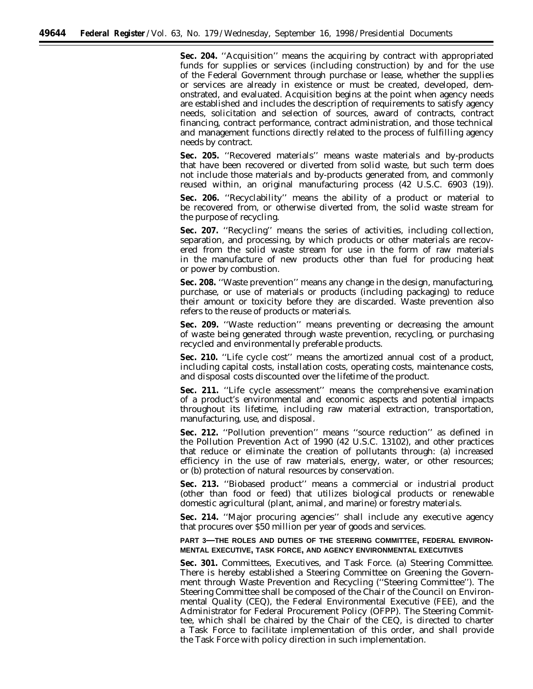**Sec. 204.** ''Acquisition'' means the acquiring by contract with appropriated funds for supplies or services (including construction) by and for the use of the Federal Government through purchase or lease, whether the supplies or services are already in existence or must be created, developed, demonstrated, and evaluated. Acquisition begins at the point when agency needs are established and includes the description of requirements to satisfy agency needs, solicitation and selection of sources, award of contracts, contract financing, contract performance, contract administration, and those technical and management functions directly related to the process of fulfilling agency needs by contract.

**Sec. 205.** ''Recovered materials'' means waste materials and by-products that have been recovered or diverted from solid waste, but such term does not include those materials and by-products generated from, and commonly reused within, an original manufacturing process (42 U.S.C. 6903 (19)).

**Sec. 206.** ''Recyclability'' means the ability of a product or material to be recovered from, or otherwise diverted from, the solid waste stream for the purpose of recycling.

**Sec. 207.** "Recycling" means the series of activities, including collection, separation, and processing, by which products or other materials are recovered from the solid waste stream for use in the form of raw materials in the manufacture of new products other than fuel for producing heat or power by combustion.

**Sec. 208.** ''Waste prevention'' means any change in the design, manufacturing, purchase, or use of materials or products (including packaging) to reduce their amount or toxicity before they are discarded. Waste prevention also refers to the reuse of products or materials.

**Sec. 209.** ''Waste reduction'' means preventing or decreasing the amount of waste being generated through waste prevention, recycling, or purchasing recycled and environmentally preferable products.

Sec. 210. "Life cycle cost" means the amortized annual cost of a product, including capital costs, installation costs, operating costs, maintenance costs, and disposal costs discounted over the lifetime of the product.

Sec. 211. "Life cycle assessment" means the comprehensive examination of a product's environmental and economic aspects and potential impacts throughout its lifetime, including raw material extraction, transportation, manufacturing, use, and disposal.

**Sec. 212.** ''Pollution prevention'' means ''source reduction'' as defined in the Pollution Prevention Act of 1990 (42 U.S.C. 13102), and other practices that reduce or eliminate the creation of pollutants through: (a) increased efficiency in the use of raw materials, energy, water, or other resources; or (b) protection of natural resources by conservation.

**Sec. 213.** ''Biobased product'' means a commercial or industrial product (other than food or feed) that utilizes biological products or renewable domestic agricultural (plant, animal, and marine) or forestry materials.

**Sec. 214.** "Major procuring agencies" shall include any executive agency that procures over \$50 million per year of goods and services.

## **PART 3—THE ROLES AND DUTIES OF THE STEERING COMMITTEE, FEDERAL ENVIRON-MENTAL EXECUTIVE, TASK FORCE, AND AGENCY ENVIRONMENTAL EXECUTIVES**

**Sec. 301.** Committees, Executives, and Task Force. (a) Steering Committee. There is hereby established a Steering Committee on Greening the Government through Waste Prevention and Recycling (''Steering Committee''). The Steering Committee shall be composed of the Chair of the Council on Environmental Quality (CEQ), the Federal Environmental Executive (FEE), and the Administrator for Federal Procurement Policy (OFPP). The Steering Committee, which shall be chaired by the Chair of the CEQ, is directed to charter a Task Force to facilitate implementation of this order, and shall provide the Task Force with policy direction in such implementation.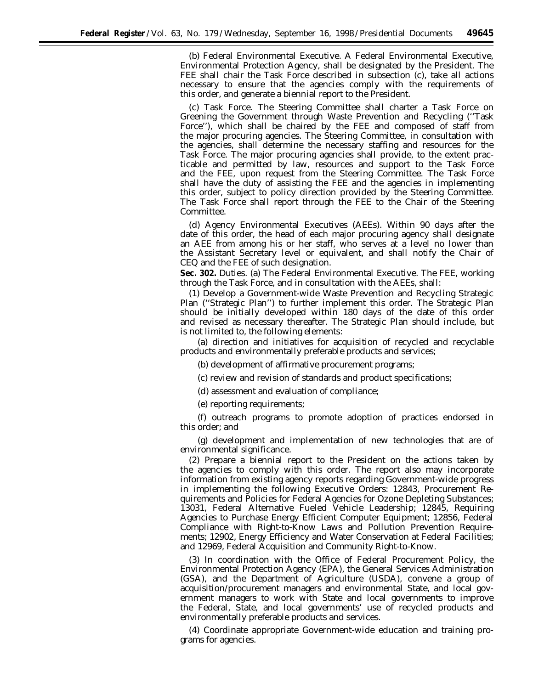(b) Federal Environmental Executive. A Federal Environmental Executive, Environmental Protection Agency, shall be designated by the President. The FEE shall chair the Task Force described in subsection (c), take all actions necessary to ensure that the agencies comply with the requirements of this order, and generate a biennial report to the President.

(c) Task Force. The Steering Committee shall charter a Task Force on Greening the Government through Waste Prevention and Recycling (''Task Force''), which shall be chaired by the FEE and composed of staff from the major procuring agencies. The Steering Committee, in consultation with the agencies, shall determine the necessary staffing and resources for the Task Force. The major procuring agencies shall provide, to the extent practicable and permitted by law, resources and support to the Task Force and the FEE, upon request from the Steering Committee. The Task Force shall have the duty of assisting the FEE and the agencies in implementing this order, subject to policy direction provided by the Steering Committee. The Task Force shall report through the FEE to the Chair of the Steering Committee.

(d) Agency Environmental Executives (AEEs). Within 90 days after the date of this order, the head of each major procuring agency shall designate an AEE from among his or her staff, who serves at a level no lower than the Assistant Secretary level or equivalent, and shall notify the Chair of CEQ and the FEE of such designation.

**Sec. 302.** Duties. (a) The Federal Environmental Executive. The FEE, working through the Task Force, and in consultation with the AEEs, shall:

(1) Develop a Government-wide Waste Prevention and Recycling Strategic Plan (''Strategic Plan'') to further implement this order. The Strategic Plan should be initially developed within 180 days of the date of this order and revised as necessary thereafter. The Strategic Plan should include, but is not limited to, the following elements:

(a) direction and initiatives for acquisition of recycled and recyclable products and environmentally preferable products and services;

(b) development of affirmative procurement programs;

(c) review and revision of standards and product specifications;

(d) assessment and evaluation of compliance;

(e) reporting requirements;

(f) outreach programs to promote adoption of practices endorsed in this order; and

(g) development and implementation of new technologies that are of environmental significance.

(2) Prepare a biennial report to the President on the actions taken by the agencies to comply with this order. The report also may incorporate information from existing agency reports regarding Government-wide progress in implementing the following Executive Orders: 12843, Procurement Requirements and Policies for Federal Agencies for Ozone Depleting Substances; 13031, Federal Alternative Fueled Vehicle Leadership; 12845, Requiring Agencies to Purchase Energy Efficient Computer Equipment; 12856, Federal Compliance with Right-to-Know Laws and Pollution Prevention Requirements; 12902, Energy Efficiency and Water Conservation at Federal Facilities; and 12969, Federal Acquisition and Community Right-to-Know.

(3) In coordination with the Office of Federal Procurement Policy, the Environmental Protection Agency (EPA), the General Services Administration (GSA), and the Department of Agriculture (USDA), convene a group of acquisition/procurement managers and environmental State, and local government managers to work with State and local governments to improve the Federal, State, and local governments' use of recycled products and environmentally preferable products and services.

(4) Coordinate appropriate Government-wide education and training programs for agencies.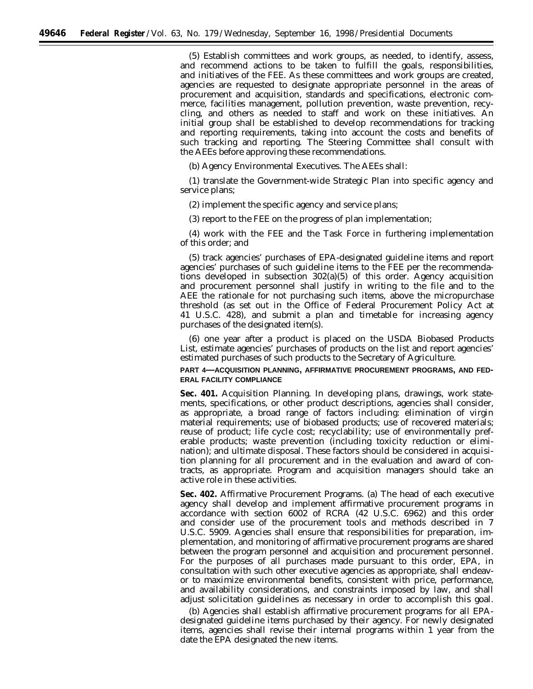(5) Establish committees and work groups, as needed, to identify, assess, and recommend actions to be taken to fulfill the goals, responsibilities, and initiatives of the FEE. As these committees and work groups are created, agencies are requested to designate appropriate personnel in the areas of procurement and acquisition, standards and specifications, electronic commerce, facilities management, pollution prevention, waste prevention, recycling, and others as needed to staff and work on these initiatives. An initial group shall be established to develop recommendations for tracking and reporting requirements, taking into account the costs and benefits of such tracking and reporting. The Steering Committee shall consult with the AEEs before approving these recommendations.

(b) Agency Environmental Executives. The AEEs shall:

(1) translate the Government-wide Strategic Plan into specific agency and service plans;

(2) implement the specific agency and service plans;

(3) report to the FEE on the progress of plan implementation;

(4) work with the FEE and the Task Force in furthering implementation of this order; and

(5) track agencies' purchases of EPA-designated guideline items and report agencies' purchases of such guideline items to the FEE per the recommendations developed in subsection  $302(a)(5)$  of this order. Agency acquisition and procurement personnel shall justify in writing to the file and to the AEE the rationale for not purchasing such items, above the micropurchase threshold (as set out in the Office of Federal Procurement Policy Act at 41 U.S.C. 428), and submit a plan and timetable for increasing agency purchases of the designated item(s).

(6) one year after a product is placed on the USDA Biobased Products List, estimate agencies' purchases of products on the list and report agencies' estimated purchases of such products to the Secretary of Agriculture.

# **PART 4—ACQUISITION PLANNING, AFFIRMATIVE PROCUREMENT PROGRAMS, AND FED-ERAL FACILITY COMPLIANCE**

**Sec. 401.** Acquisition Planning. In developing plans, drawings, work statements, specifications, or other product descriptions, agencies shall consider, as appropriate, a broad range of factors including: elimination of virgin material requirements; use of biobased products; use of recovered materials; reuse of product; life cycle cost; recyclability; use of environmentally preferable products; waste prevention (including toxicity reduction or elimination); and ultimate disposal. These factors should be considered in acquisition planning for all procurement and in the evaluation and award of contracts, as appropriate. Program and acquisition managers should take an active role in these activities.

**Sec. 402.** Affirmative Procurement Programs. (a) The head of each executive agency shall develop and implement affirmative procurement programs in accordance with section 6002 of RCRA (42 U.S.C. 6962) and this order and consider use of the procurement tools and methods described in 7 U.S.C. 5909. Agencies shall ensure that responsibilities for preparation, implementation, and monitoring of affirmative procurement programs are shared between the program personnel and acquisition and procurement personnel. For the purposes of all purchases made pursuant to this order, EPA, in consultation with such other executive agencies as appropriate, shall endeavor to maximize environmental benefits, consistent with price, performance, and availability considerations, and constraints imposed by law, and shall adjust solicitation guidelines as necessary in order to accomplish this goal.

(b) Agencies shall establish affirmative procurement programs for all EPAdesignated guideline items purchased by their agency. For newly designated items, agencies shall revise their internal programs within 1 year from the date the EPA designated the new items.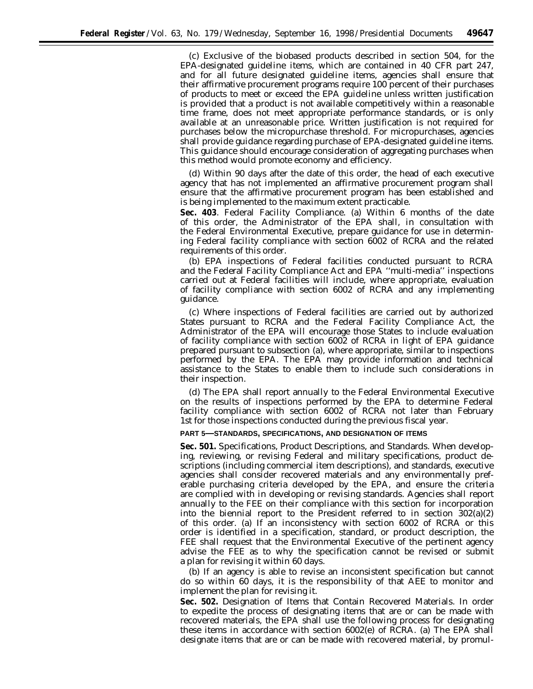(c) Exclusive of the biobased products described in section 504, for the EPA-designated guideline items, which are contained in 40 CFR part 247, and for all future designated guideline items, agencies shall ensure that their affirmative procurement programs require 100 percent of their purchases of products to meet or exceed the EPA guideline unless written justification is provided that a product is not available competitively within a reasonable time frame, does not meet appropriate performance standards, or is only available at an unreasonable price. Written justification is not required for purchases below the micropurchase threshold. For micropurchases, agencies shall provide guidance regarding purchase of EPA-designated guideline items. This guidance should encourage consideration of aggregating purchases when this method would promote economy and efficiency.

(d) Within 90 days after the date of this order, the head of each executive agency that has not implemented an affirmative procurement program shall ensure that the affirmative procurement program has been established and is being implemented to the maximum extent practicable.

**Sec. 403**. Federal Facility Compliance. (a) Within 6 months of the date of this order, the Administrator of the EPA shall, in consultation with the Federal Environmental Executive, prepare guidance for use in determining Federal facility compliance with section 6002 of RCRA and the related requirements of this order.

(b) EPA inspections of Federal facilities conducted pursuant to RCRA and the Federal Facility Compliance Act and EPA ''multi-media'' inspections carried out at Federal facilities will include, where appropriate, evaluation of facility compliance with section 6002 of RCRA and any implementing guidance.

(c) Where inspections of Federal facilities are carried out by authorized States pursuant to RCRA and the Federal Facility Compliance Act, the Administrator of the EPA will encourage those States to include evaluation of facility compliance with section 6002 of RCRA in light of EPA guidance prepared pursuant to subsection (a), where appropriate, similar to inspections performed by the EPA. The EPA may provide information and technical assistance to the States to enable them to include such considerations in their inspection.

(d) The EPA shall report annually to the Federal Environmental Executive on the results of inspections performed by the EPA to determine Federal facility compliance with section 6002 of RCRA not later than February 1st for those inspections conducted during the previous fiscal year.

#### **PART 5—STANDARDS, SPECIFICATIONS, AND DESIGNATION OF ITEMS**

**Sec. 501.** Specifications, Product Descriptions, and Standards. When developing, reviewing, or revising Federal and military specifications, product descriptions (including commercial item descriptions), and standards, executive agencies shall consider recovered materials and any environmentally preferable purchasing criteria developed by the EPA, and ensure the criteria are complied with in developing or revising standards. Agencies shall report annually to the FEE on their compliance with this section for incorporation into the biennial report to the President referred to in section  $302(a)(2)$ of this order. (a) If an inconsistency with section 6002 of RCRA or this order is identified in a specification, standard, or product description, the FEE shall request that the Environmental Executive of the pertinent agency advise the FEE as to why the specification cannot be revised or submit a plan for revising it within 60 days.

(b) If an agency is able to revise an inconsistent specification but cannot do so within 60 days, it is the responsibility of that AEE to monitor and implement the plan for revising it.

**Sec. 502.** Designation of Items that Contain Recovered Materials. In order to expedite the process of designating items that are or can be made with recovered materials, the EPA shall use the following process for designating these items in accordance with section 6002(e) of RCRA. (a) The EPA shall designate items that are or can be made with recovered material, by promul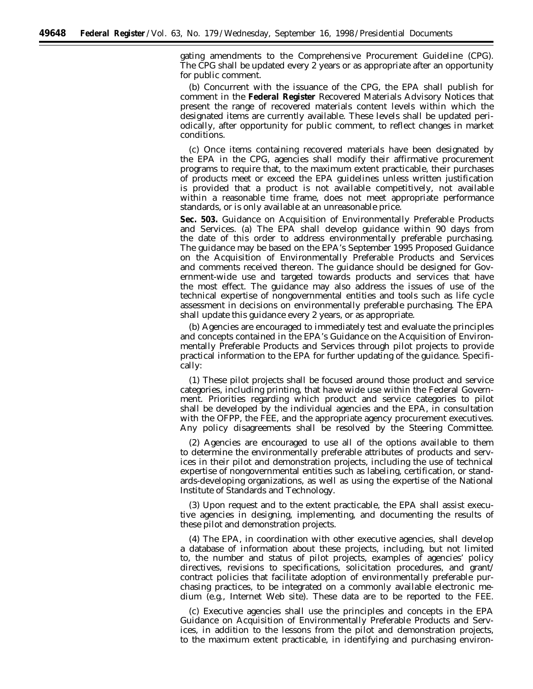gating amendments to the Comprehensive Procurement Guideline (CPG). The CPG shall be updated every 2 years or as appropriate after an opportunity for public comment.

(b) Concurrent with the issuance of the CPG, the EPA shall publish for comment in the **Federal Register** Recovered Materials Advisory Notices that present the range of recovered materials content levels within which the designated items are currently available. These levels shall be updated periodically, after opportunity for public comment, to reflect changes in market conditions.

(c) Once items containing recovered materials have been designated by the EPA in the CPG, agencies shall modify their affirmative procurement programs to require that, to the maximum extent practicable, their purchases of products meet or exceed the EPA guidelines unless written justification is provided that a product is not available competitively, not available within a reasonable time frame, does not meet appropriate performance standards, or is only available at an unreasonable price.

**Sec. 503.** Guidance on Acquisition of Environmentally Preferable Products and Services. (a) The EPA shall develop guidance within 90 days from the date of this order to address environmentally preferable purchasing. The guidance may be based on the EPA's September 1995 Proposed Guidance on the Acquisition of Environmentally Preferable Products and Services and comments received thereon. The guidance should be designed for Government-wide use and targeted towards products and services that have the most effect. The guidance may also address the issues of use of the technical expertise of nongovernmental entities and tools such as life cycle assessment in decisions on environmentally preferable purchasing. The EPA shall update this guidance every 2 years, or as appropriate.

(b) Agencies are encouraged to immediately test and evaluate the principles and concepts contained in the EPA's Guidance on the Acquisition of Environmentally Preferable Products and Services through pilot projects to provide practical information to the EPA for further updating of the guidance. Specifically:

(1) These pilot projects shall be focused around those product and service categories, including printing, that have wide use within the Federal Government. Priorities regarding which product and service categories to pilot shall be developed by the individual agencies and the EPA, in consultation with the OFPP, the FEE, and the appropriate agency procurement executives. Any policy disagreements shall be resolved by the Steering Committee.

(2) Agencies are encouraged to use all of the options available to them to determine the environmentally preferable attributes of products and services in their pilot and demonstration projects, including the use of technical expertise of nongovernmental entities such as labeling, certification, or standards-developing organizations, as well as using the expertise of the National Institute of Standards and Technology.

(3) Upon request and to the extent practicable, the EPA shall assist executive agencies in designing, implementing, and documenting the results of these pilot and demonstration projects.

(4) The EPA, in coordination with other executive agencies, shall develop a database of information about these projects, including, but not limited to, the number and status of pilot projects, examples of agencies' policy directives, revisions to specifications, solicitation procedures, and grant/ contract policies that facilitate adoption of environmentally preferable purchasing practices, to be integrated on a commonly available electronic medium (e.g., Internet Web site). These data are to be reported to the FEE.

(c) Executive agencies shall use the principles and concepts in the EPA Guidance on Acquisition of Environmentally Preferable Products and Services, in addition to the lessons from the pilot and demonstration projects, to the maximum extent practicable, in identifying and purchasing environ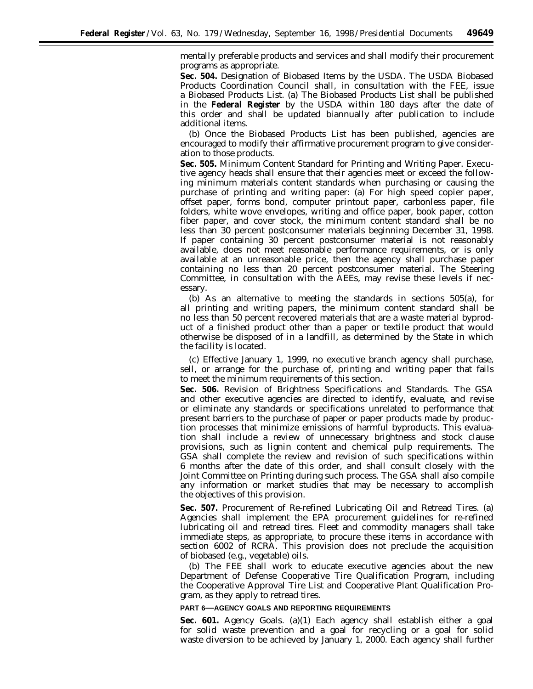mentally preferable products and services and shall modify their procurement programs as appropriate.

**Sec. 504.** Designation of Biobased Items by the USDA. The USDA Biobased Products Coordination Council shall, in consultation with the FEE, issue a Biobased Products List. (a) The Biobased Products List shall be published in the **Federal Register** by the USDA within 180 days after the date of this order and shall be updated biannually after publication to include additional items.

(b) Once the Biobased Products List has been published, agencies are encouraged to modify their affirmative procurement program to give consideration to those products.

**Sec. 505.** Minimum Content Standard for Printing and Writing Paper. Executive agency heads shall ensure that their agencies meet or exceed the following minimum materials content standards when purchasing or causing the purchase of printing and writing paper: (a) For high speed copier paper, offset paper, forms bond, computer printout paper, carbonless paper, file folders, white wove envelopes, writing and office paper, book paper, cotton fiber paper, and cover stock, the minimum content standard shall be no less than 30 percent postconsumer materials beginning December 31, 1998. If paper containing 30 percent postconsumer material is not reasonably available, does not meet reasonable performance requirements, or is only available at an unreasonable price, then the agency shall purchase paper containing no less than 20 percent postconsumer material. The Steering Committee, in consultation with the AEEs, may revise these levels if necessary.

(b) As an alternative to meeting the standards in sections 505(a), for all printing and writing papers, the minimum content standard shall be no less than 50 percent recovered materials that are a waste material byproduct of a finished product other than a paper or textile product that would otherwise be disposed of in a landfill, as determined by the State in which the facility is located.

(c) Effective January 1, 1999, no executive branch agency shall purchase, sell, or arrange for the purchase of, printing and writing paper that fails to meet the minimum requirements of this section.

**Sec. 506.** Revision of Brightness Specifications and Standards. The GSA and other executive agencies are directed to identify, evaluate, and revise or eliminate any standards or specifications unrelated to performance that present barriers to the purchase of paper or paper products made by production processes that minimize emissions of harmful byproducts. This evaluation shall include a review of unnecessary brightness and stock clause provisions, such as lignin content and chemical pulp requirements. The GSA shall complete the review and revision of such specifications within 6 months after the date of this order, and shall consult closely with the Joint Committee on Printing during such process. The GSA shall also compile any information or market studies that may be necessary to accomplish the objectives of this provision.

**Sec. 507.** Procurement of Re-refined Lubricating Oil and Retread Tires. (a) Agencies shall implement the EPA procurement guidelines for re-refined lubricating oil and retread tires. Fleet and commodity managers shall take immediate steps, as appropriate, to procure these items in accordance with section 6002 of RCRA. This provision does not preclude the acquisition of biobased (e.g., vegetable) oils.

(b) The FEE shall work to educate executive agencies about the new Department of Defense Cooperative Tire Qualification Program, including the Cooperative Approval Tire List and Cooperative Plant Qualification Program, as they apply to retread tires.

#### **PART 6—AGENCY GOALS AND REPORTING REQUIREMENTS**

**Sec. 601.** Agency Goals. (a)(1) Each agency shall establish either a goal for solid waste prevention and a goal for recycling or a goal for solid waste diversion to be achieved by January 1, 2000. Each agency shall further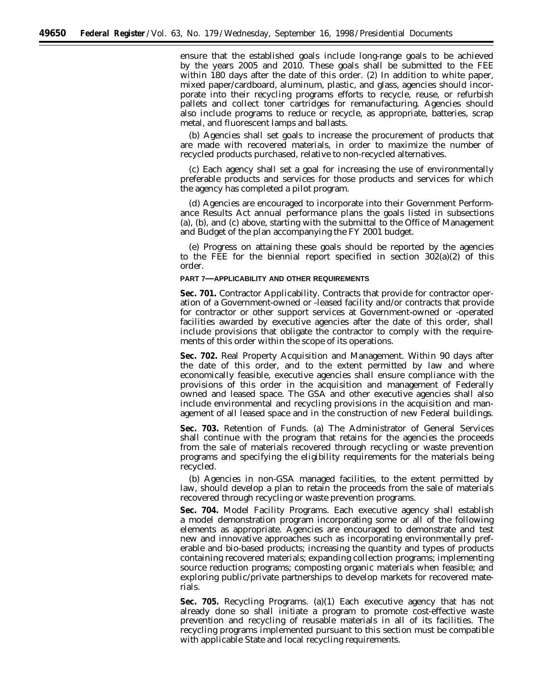ensure that the established goals include long-range goals to be achieved by the years 2005 and 2010. These goals shall be submitted to the FEE within 180 days after the date of this order. (2) In addition to white paper, mixed paper/cardboard, aluminum, plastic, and glass, agencies should incorporate into their recycling programs efforts to recycle, reuse, or refurbish pallets and collect toner cartridges for remanufacturing. Agencies should also include programs to reduce or recycle, as appropriate, batteries, scrap metal, and fluorescent lamps and ballasts.

(b) Agencies shall set goals to increase the procurement of products that are made with recovered materials, in order to maximize the number of recycled products purchased, relative to non-recycled alternatives.

(c) Each agency shall set a goal for increasing the use of environmentally preferable products and services for those products and services for which the agency has completed a pilot program.

(d) Agencies are encouraged to incorporate into their Government Performance Results Act annual performance plans the goals listed in subsections (a), (b), and (c) above, starting with the submittal to the Office of Management and Budget of the plan accompanying the FY 2001 budget.

(e) Progress on attaining these goals should be reported by the agencies to the FEE for the biennial report specified in section  $302(a)(2)$  of this order.

## **PART 7—APPLICABILITY AND OTHER REQUIREMENTS**

**Sec. 701.** Contractor Applicability. Contracts that provide for contractor operation of a Government-owned or -leased facility and/or contracts that provide for contractor or other support services at Government-owned or -operated facilities awarded by executive agencies after the date of this order, shall include provisions that obligate the contractor to comply with the requirements of this order within the scope of its operations.

**Sec. 702.** Real Property Acquisition and Management. Within 90 days after the date of this order, and to the extent permitted by law and where economically feasible, executive agencies shall ensure compliance with the provisions of this order in the acquisition and management of Federally owned and leased space. The GSA and other executive agencies shall also include environmental and recycling provisions in the acquisition and management of all leased space and in the construction of new Federal buildings.

**Sec. 703.** Retention of Funds. (a) The Administrator of General Services shall continue with the program that retains for the agencies the proceeds from the sale of materials recovered through recycling or waste prevention programs and specifying the eligibility requirements for the materials being recycled.

(b) Agencies in non-GSA managed facilities, to the extent permitted by law, should develop a plan to retain the proceeds from the sale of materials recovered through recycling or waste prevention programs.

**Sec. 704.** Model Facility Programs. Each executive agency shall establish a model demonstration program incorporating some or all of the following elements as appropriate. Agencies are encouraged to demonstrate and test new and innovative approaches such as incorporating environmentally preferable and bio-based products; increasing the quantity and types of products containing recovered materials; expanding collection programs; implementing source reduction programs; composting organic materials when feasible; and exploring public/private partnerships to develop markets for recovered materials.

**Sec. 705.** Recycling Programs. (a)(1) Each executive agency that has not already done so shall initiate a program to promote cost-effective waste prevention and recycling of reusable materials in all of its facilities. The recycling programs implemented pursuant to this section must be compatible with applicable State and local recycling requirements.